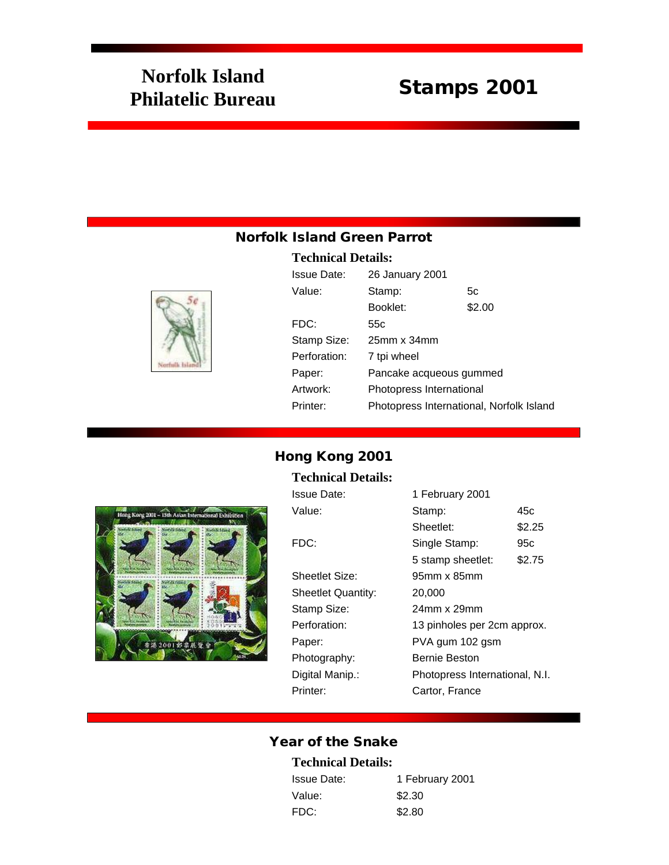# **Norfolk Island Philatelic Bureau** Stamps 2001

## Norfolk Island Green Parrot

#### **Technical Details:**



| Issue Date:  | 26 January 2001                          |        |
|--------------|------------------------------------------|--------|
| Value:       | Stamp:                                   | 5с     |
|              | Booklet:                                 | \$2.00 |
| FDC:         | 55c                                      |        |
| Stamp Size:  | $25$ mm x $34$ mm                        |        |
| Perforation: | 7 tpi wheel                              |        |
| Paper:       | Pancake acqueous gummed                  |        |
| Artwork:     | Photopress International                 |        |
| Printer:     | Photopress International, Norfolk Island |        |

## Hong Kong 2001

#### **Technical Details:**



| Issue Date:        | 1 February 2001                |        |
|--------------------|--------------------------------|--------|
| Value:             | Stamp:                         | 45c    |
|                    | Sheetlet:                      | \$2.25 |
| FDC:               | Single Stamp:                  | 95c    |
|                    | 5 stamp sheetlet:              | \$2.75 |
| Sheetlet Size:     | 95mm x 85mm                    |        |
| Sheetlet Quantity: | 20,000                         |        |
| Stamp Size:        | 24mm x 29mm                    |        |
| Perforation:       | 13 pinholes per 2cm approx.    |        |
| Paper:             | PVA gum 102 gsm                |        |
| Photography:       | <b>Bernie Beston</b>           |        |
| Digital Manip.:    | Photopress International, N.I. |        |
| Printer:           | Cartor, France                 |        |
|                    |                                |        |

## Year of the Snake

#### **Technical Details:**

| <b>Issue Date:</b> | 1 February 2001 |
|--------------------|-----------------|
| Value:             | \$2.30          |
| FDC:               | \$2.80          |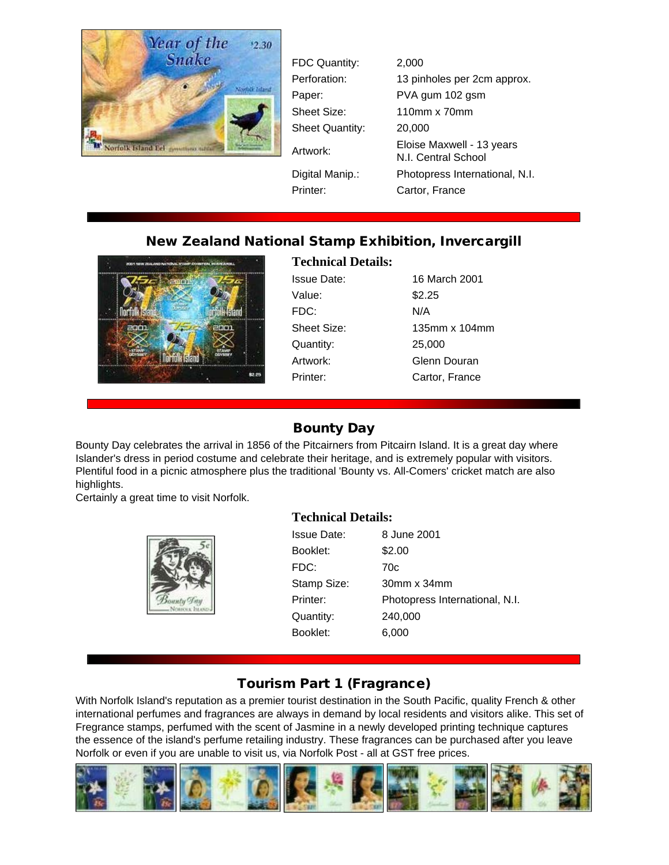

FDC Quantity: 2,000 Perforation: 13 pinholes per 2cm approx. Paper: PVA gum 102 gsm Sheet Size: 110mm x 70mm Sheet Quantity: 20,000 Artwork: Eloise Maxwell - 13 years N.I. Central School Digital Manip.: Photopress International, N.I. Printer: Cartor, France

## New Zealand National Stamp Exhibition, Invercargill



**Technical Details:**

Issue Date: 16 March 2001 Value: \$2.25 FDC: N/A Sheet Size: 135mm x 104mm Quantity: 25,000 Artwork: Glenn Douran Printer: Cartor, France

## Bounty Day

Bounty Day celebrates the arrival in 1856 of the Pitcairners from Pitcairn Island. It is a great day where Islander's dress in period costume and celebrate their heritage, and is extremely popular with visitors. Plentiful food in a picnic atmosphere plus the traditional 'Bounty vs. All-Comers' cricket match are also highlights.

Certainly a great time to visit Norfolk.



#### **Technical Details:**

| Issue Date: | 8 June 2001                    |
|-------------|--------------------------------|
| Booklet:    | \$2.00                         |
| FDC:        | 70c                            |
| Stamp Size: | $30mm \times 34mm$             |
| Printer:    | Photopress International, N.I. |
| Quantity:   | 240,000                        |
| Booklet:    | 6.000                          |
|             |                                |

## Tourism Part 1 (Fragrance)

With Norfolk Island's reputation as a premier tourist destination in the South Pacific, quality French & other international perfumes and fragrances are always in demand by local residents and visitors alike. This set of Fregrance stamps, perfumed with the scent of Jasmine in a newly developed printing technique captures the essence of the island's perfume retailing industry. These fragrances can be purchased after you leave Norfolk or even if you are unable to visit us, via Norfolk Post - all at GST free prices.

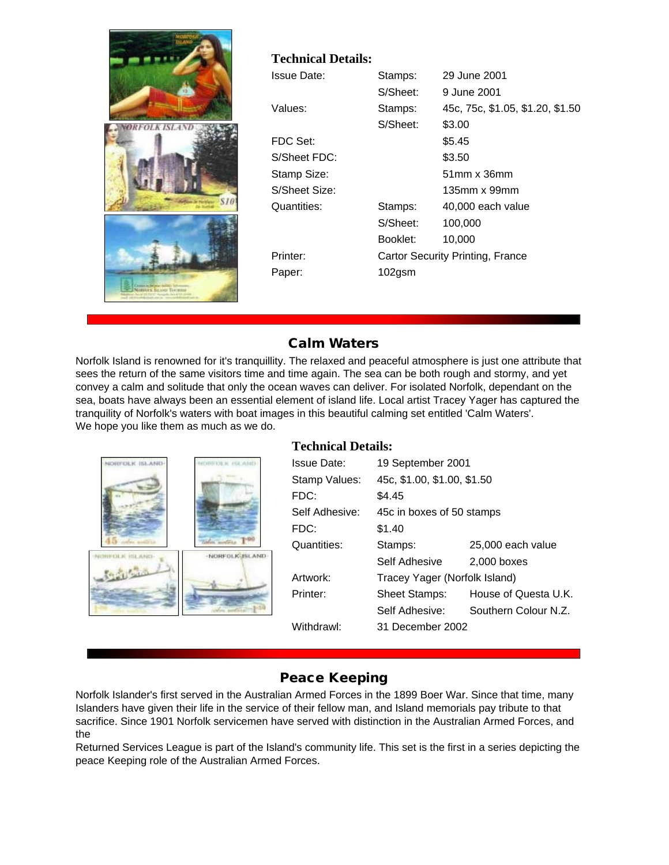

#### **Technical Details:**

| Issue Date:   | Stamps:   | 29 June 2001                     |
|---------------|-----------|----------------------------------|
|               | S/Sheet:  | 9 June 2001                      |
| Values:       | Stamps:   | 45c, 75c, \$1.05, \$1.20, \$1.50 |
|               | S/Sheet:  | \$3.00                           |
| FDC Set:      |           | \$5.45                           |
| S/Sheet FDC:  |           | \$3.50                           |
| Stamp Size:   |           | $51$ mm x $36$ mm                |
| S/Sheet Size: |           | 135mm x 99mm                     |
| Quantities:   | Stamps:   | 40,000 each value                |
|               | S/Sheet:  | 100,000                          |
|               | Booklet:  | 10,000                           |
| Printer:      |           | Cartor Security Printing, France |
| Paper:        | $102$ gsm |                                  |
|               |           |                                  |

## Calm Waters

Norfolk Island is renowned for it's tranquillity. The relaxed and peaceful atmosphere is just one attribute that sees the return of the same visitors time and time again. The sea can be both rough and stormy, and yet convey a calm and solitude that only the ocean waves can deliver. For isolated Norfolk, dependant on the sea, boats have always been an essential element of island life. Local artist Tracey Yager has captured the tranquility of Norfolk's waters with boat images in this beautiful calming set entitled 'Calm Waters'. We hope you like them as much as we do.



#### **Technical Details:**

| <b>Issue Date:</b> | 19 September 2001             |                      |
|--------------------|-------------------------------|----------------------|
| Stamp Values:      | 45c, \$1.00, \$1.00, \$1.50   |                      |
| FDC:               | \$4.45                        |                      |
| Self Adhesive:     | 45c in boxes of 50 stamps     |                      |
| FDC:               | \$1.40                        |                      |
| Quantities:        | Stamps:                       | 25,000 each value    |
|                    | Self Adhesive                 | 2.000 boxes          |
| Artwork:           | Tracey Yager (Norfolk Island) |                      |
| Printer:           | <b>Sheet Stamps:</b>          | House of Questa U.K. |
|                    | Self Adhesive:                | Southern Colour N.Z. |
| Withdrawl:         | 31 December 2002              |                      |
|                    |                               |                      |

## Peace Keeping

Norfolk Islander's first served in the Australian Armed Forces in the 1899 Boer War. Since that time, many Islanders have given their life in the service of their fellow man, and Island memorials pay tribute to that sacrifice. Since 1901 Norfolk servicemen have served with distinction in the Australian Armed Forces, and the

Returned Services League is part of the Island's community life. This set is the first in a series depicting the peace Keeping role of the Australian Armed Forces.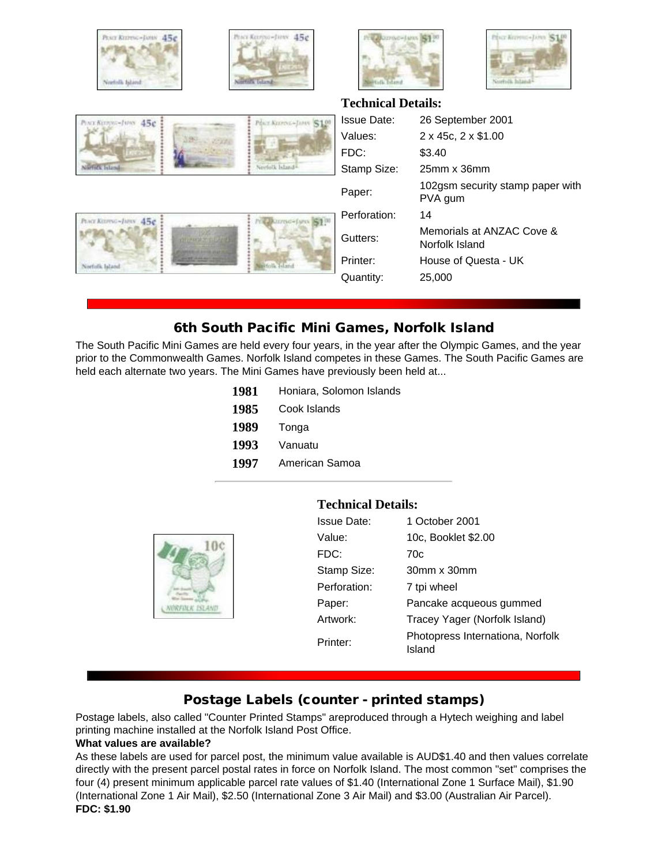

45¢

Prace Kim





**Technical Details:**



| POUT KORNE-JUNS 45c | PEGY KITPOG-JUNE S10        |
|---------------------|-----------------------------|
|                     |                             |
|                     |                             |
| Nierfulk Island     | Norfolk Island <sup>®</sup> |

| Issue Date:  | 26 September 2001                           |
|--------------|---------------------------------------------|
| Values:      | 2 x 45c, 2 x \$1.00                         |
| FDC:         | \$3.40                                      |
| Stamp Size:  | $25$ mm x $36$ mm                           |
| Paper:       | 102gsm security stamp paper with<br>PVA gum |
| Perforation: | 14                                          |
| Gutters:     | Memorials at ANZAC Cove &<br>Norfolk Island |
| Printer:     | House of Questa - UK                        |
| Quantity:    | 25,000                                      |
|              |                                             |

## 6th South Pacific Mini Games, Norfolk Island

The South Pacific Mini Games are held every four years, in the year after the Olympic Games, and the year prior to the Commonwealth Games. Norfolk Island competes in these Games. The South Pacific Games are held each alternate two years. The Mini Games have previously been held at...

| 1981 | Honiara, Solomon Islands |
|------|--------------------------|
| 1985 | Cook Islands             |
| 1989 | Tonga                    |
| 1993 | Vanuatu                  |
| 1997 | American Samoa           |
|      |                          |



## **Technical Details:**

| <b>Issue Date:</b> | 1 October 2001                             |
|--------------------|--------------------------------------------|
| Value:             | 10c, Booklet \$2.00                        |
| FDC:               | 70c                                        |
| Stamp Size:        | $30mm \times 30mm$                         |
| Perforation:       | 7 tpi wheel                                |
| Paper:             | Pancake acqueous gummed                    |
| Artwork:           | Tracey Yager (Norfolk Island)              |
| Printer:           | Photopress Internationa, Norfolk<br>Island |

## Postage Labels (counter - printed stamps)

Postage labels, also called "Counter Printed Stamps" areproduced through a Hytech weighing and label printing machine installed at the Norfolk Island Post Office.

#### **What values are available?**

As these labels are used for parcel post, the minimum value available is AUD\$1.40 and then values correlate directly with the present parcel postal rates in force on Norfolk Island. The most common "set" comprises the four (4) present minimum applicable parcel rate values of \$1.40 (International Zone 1 Surface Mail), \$1.90 (International Zone 1 Air Mail), \$2.50 (International Zone 3 Air Mail) and \$3.00 (Australian Air Parcel). **FDC: \$1.90**